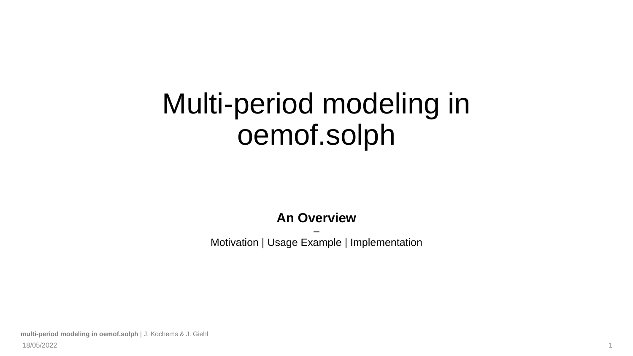# Multi-period modeling in oemof.solph

### **An Overview**

– Motivation | Usage Example | Implementation

**multi-period modeling in oemof.solph** | J. Kochems & J. Giehl 18/05/2022 1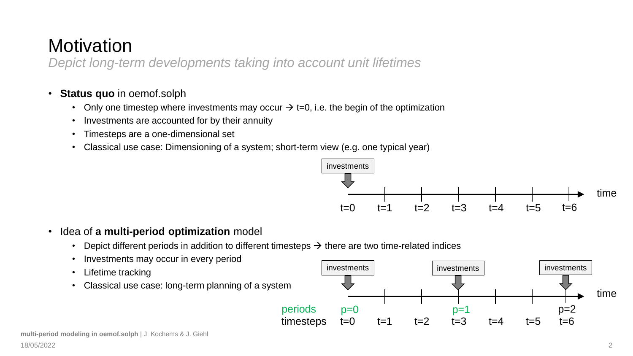### **Motivation**

*Depict long-term developments taking into account unit lifetimes*

#### • **Status quo** in oemof.solph

- Only one timestep where investments may occur  $\rightarrow$  t=0, i.e. the begin of the optimization
- Investments are accounted for by their annuity
- Timesteps are a one-dimensional set
- Classical use case: Dimensioning of a system; short-term view (e.g. one typical year)



- Idea of **a multi-period optimization** model
	- Depict different periods in addition to different timesteps  $\rightarrow$  there are two time-related indices
	- Investments may occur in every period
	- Lifetime tracking
	- Classical use case: long-term planning of a system

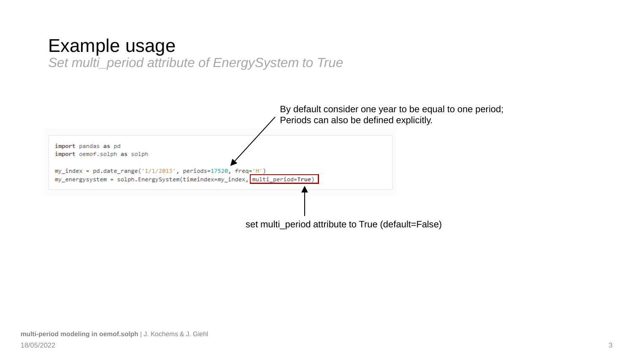### Example usage

*Set multi\_period attribute of EnergySystem to True*

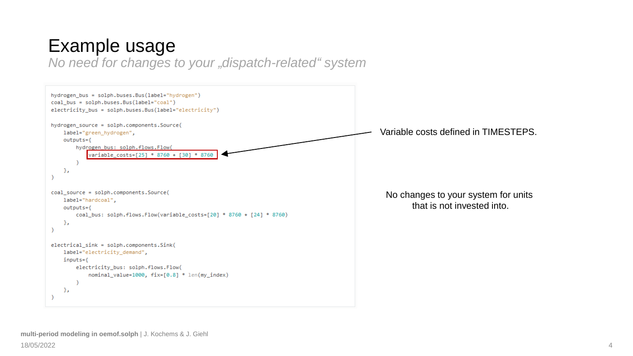### Example usage

*No need for changes to your "dispatch-related" system*

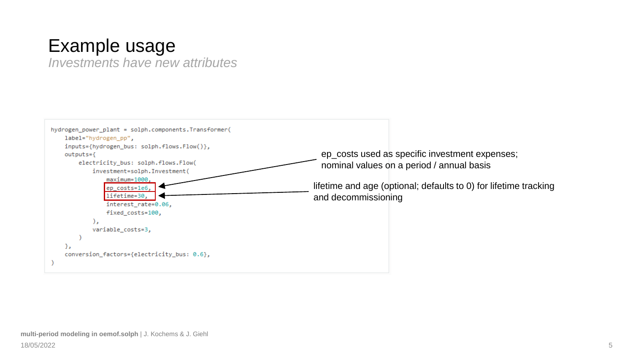### Example usage

*Investments have new attributes*

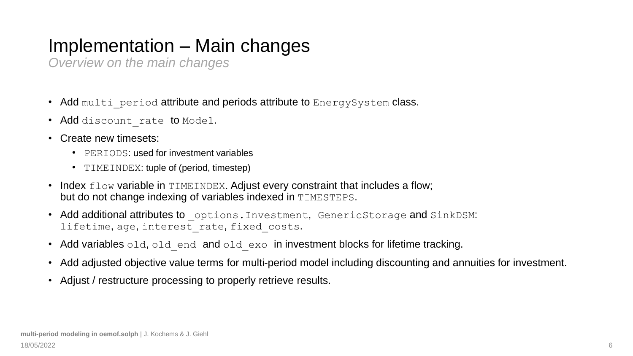## Implementation – Main changes

*Overview on the main changes*

- Add multi period attribute and periods attribute to EnergySystem class.
- Add discount rate to Model.
- Create new timesets:
	- PERIODS: used for investment variables
	- TIMEINDEX: tuple of (period, timestep)
- Index flow variable in TIMEINDEX. Adjust every constraint that includes a flow; but do not change indexing of variables indexed in TIMESTEPS.
- Add additional attributes to options. Investment, GenericStorage and SinkDSM: lifetime, age, interest rate, fixed costs.
- Add variables old, old end and old exo in investment blocks for lifetime tracking.
- Add adjusted objective value terms for multi-period model including discounting and annuities for investment.
- Adjust / restructure processing to properly retrieve results.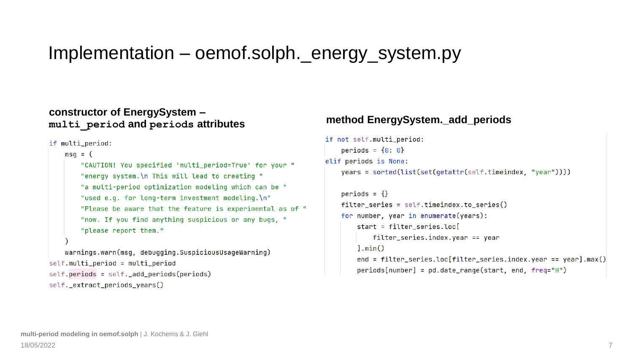### Implementation – oemof.solph.\_energy\_system.py

#### **constructor of EnergySystem – multi\_period and periods attributes method EnergySystem.\_add\_periods**

if multi\_period:

```
msq = ("CAUTION! You specified 'multi_period=True' for your "
        "energy system. \n This will lead to creating "
        "a multi-period optimization modeling which can be "
        "used e.g. for long-term investment modeling.\n"
        "Please be aware that the feature is experimental as of "
        "now. If you find anything suspicious or any bugs. "
        "please report them."
   warnings.warn(msg, debugging.SuspiciousUsageWarning)
self.multi_period = multi_period
self.periods = self.__add.periods(periods)
```

```
self._extract_periods_years()
```

```
if not self.multi_period:
   periods = \{0: 0\}elif periods is None:
   years = sorted(list(set(getattr(self.timeindex, "year"))))
```

```
periods = \{\}filter series = self.timeindex.to_series()
for number, year in enumerate(years):
    start = filter_series.log[filter_series.index.year == year
    l.min()end = fiter\_series.loc[filter\_series.index.year = year].max()periods[number] = pd.date_range(start, end, freq="H")
```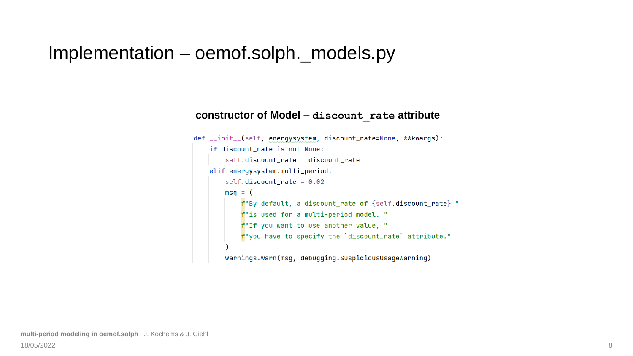### Implementation – oemof.solph.\_models.py

#### **constructor of Model – discount\_rate attribute**

```
def __init__(self, energysystem, discount_rate=None, **kwargs):
   if discount rate is not None:
        self.discount_rate = discount_rate
   elif energysystem.multi_period:
       self.discount_rate = 0.02msq = (f"By default, a discount_rate of {self.discount_rate} "
           f"is used for a multi-period model. "
           f"If you want to use another value, "
           f"you have to specify the `discount_rate` attribute."
       warnings.warn(msg, debugging.SuspiciousUsageWarning)
```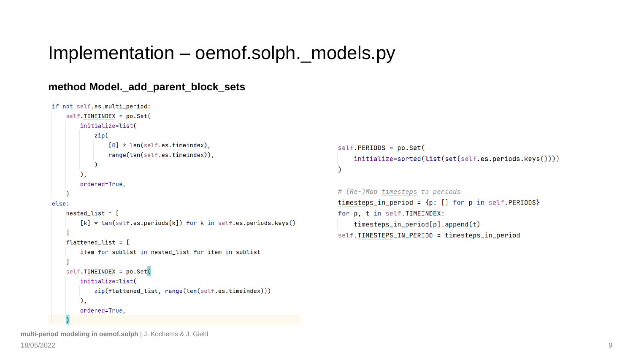### Implementation – oemof.solph.\_models.py

#### **method Model.\_add\_parent\_block\_sets**

```
if not self.es.multi_period:
    self.TIMEINDEX = po.set(initialize=list(
             zip([0] * len(self.es.timeindex).range(len(self.es.timeindex)),
         ),
        ordered=True,
else:
    nested list = <math display="inline">\lceil</math>[k] * len(self.es.periods[k]) for k in self.es.periods.keys()
    flatened\_list = [item for sublist in nested list for item in sublist
    self.TIMEINDEX = po.Set(
        initialize=list(
             zip(flattened_list, range(len(self.es.timeindex)))
        \lambda.
        ordered=True,
```

```
self.PERIDDS = po.Set(initialize=sorted(list(set(self.es.periods.keys())))
```

```
# (Re-)Map timesteps to periods
timesteps_in_period = {p: [ ]} for p in self. PERIODS}
for p, t in self. TIMEINDEX:
   time steps_in-period[p].append(t)self.TIMESTEPS_IN_PERIOD = timesteps_in_period
```
**multi-period modeling in oemof.solph** | J. Kochems & J. Giehl 18/05/2022 9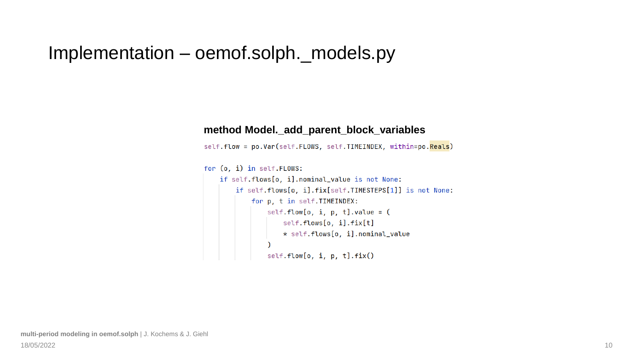### Implementation – oemof.solph.\_models.py

#### **method Model.\_add\_parent\_block\_variables**

self.flow = po.Var(self.FLOWS, self.TIMEINDEX, within=po.Reals)

```
for (o, i) in self.FLOWS:
    if self.flows[o, i].nominal_value is not None:
       if self.flows[o, i].fix[self.TIMESTEPS[1]] is not None:
            for p, t in self. TIMEINDEX:
               self.flow[o, i, p, t].value = (
                   self.flows[o, i].fix[t]
                    * self.flows[o, i].nominal_value
               self.flow[0, i, p, t].fix()
```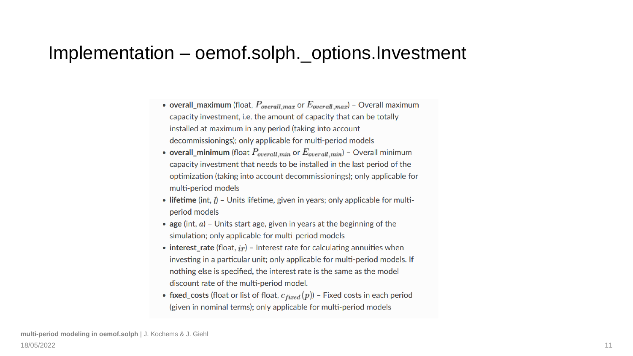### Implementation – oemof.solph.\_options.Investment

- overall\_maximum (float,  $P_{overall,max}$  or  $E_{overall,max}$ ) Overall maximum capacity investment, i.e. the amount of capacity that can be totally installed at maximum in any period (taking into account decommissionings); only applicable for multi-period models
- overall\_minimum (float  $P_{overall,min}$  or  $E_{overall,min}$ ) Overall minimum capacity investment that needs to be installed in the last period of the optimization (taking into account decommissionings); only applicable for multi-period models
- lifetime (int, *) Units lifetime, given in years; only applicable for multi*period models
- age (int,  $a$ ) Units start age, given in years at the beginning of the simulation; only applicable for multi-period models
- interest\_rate (float,  $ir$ ) Interest rate for calculating annuities when investing in a particular unit; only applicable for multi-period models. If nothing else is specified, the interest rate is the same as the model discount rate of the multi-period model.
- fixed\_costs (float or list of float,  $c_{fixed}(p)$ ) Fixed costs in each period (given in nominal terms); only applicable for multi-period models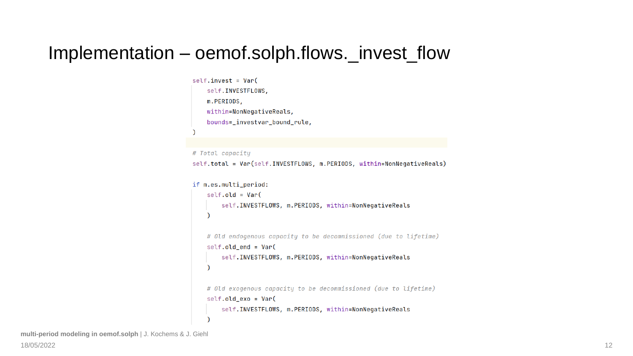### Implementation – oemof.solph.flows.\_invest\_flow

```
self.invest = Var(self.INVESTFLOWS,
   m.PERIODS,
   within=NonNegativeReals,
   bounds=_investvar_bound_rule,
```

```
# Total capacity
```
self.total = Var(self.INVESTFLOWS, m.PERIODS, within=NonNegativeReals)

```
if m.es.multi_period:
```

```
self. old = Var(self. INVESTFLOWS, m. PERIODS, within=NonNegativeReals
\lambda# Old endogenous capacity to be decommissioned (due to lifetime)
self. old-end = Var(self. INVESTFLOWS, m. PERIODS, within=NonNegativeReals
\mathcal{E}# Old exogenous capacity to be decommissioned (due to lifetime)
self. old\_exo = Var(self. INVESTFLOWS, m. PERIODS, within=NonNegativeReals
<sup>)</sup>
```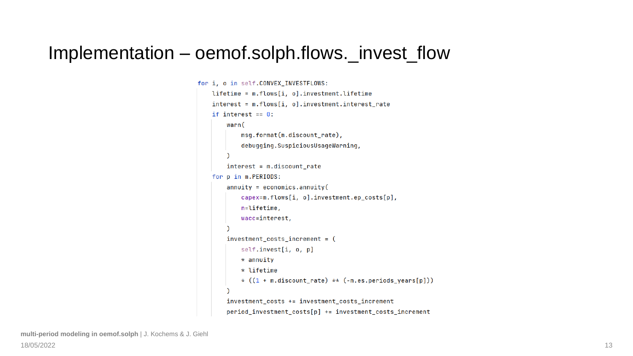### Implementation – oemof.solph.flows.\_invest\_flow

```
for i, o in self.CONVEX_INVESTFLOWS:
    lifetime = m.flows[i, o].investment.lifetime
    interest = m.flows[i, o].investment.interest_rate
    if interest == 0:
        warn(
            msg.format(m.discount_rate),
            debugging.SuspiciousUsageWarning,
        interest = m.discount_ratefor p in m.PERIODS:
        annuity = economics.annotationcapex=m.flows[i, o].investment.ep_costs[p],
            n=lifetime,
            wacc=interest,
        investment\_costs_increment = (self.invest[i, o, p]
            \star annuity
            \star lifetime
            * ((1 + m.discount_rate) ** (-m.es.periods_years[p]))investment_costs += investment_costs_increment
        period_investment_costs[p] += investment_costs_increment
```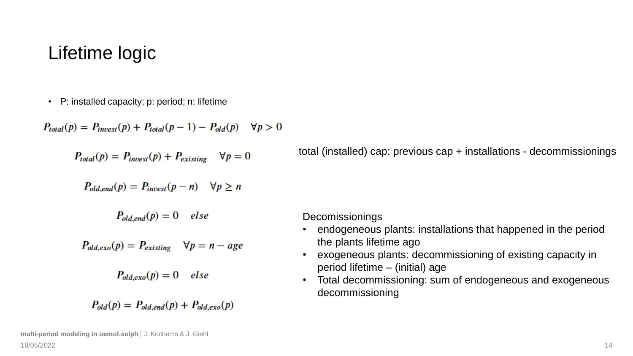### Lifetime logic

• P: installed capacity; p: period; n: lifetime

 $P_{total}(p) = P_{invest}(p) + P_{total}(p-1) - P_{old}(p) \quad \forall p > 0$ 

 $P_{total}(p) = P_{invest}(p) + P_{existing}$   $\forall p = 0$ 

total (installed) cap: previous cap + installations - decommissionings

$$
P_{old, end}(p) = P_{invest}(p - n) \quad \forall p \ge n
$$

$$
P_{old,end}(p) = 0 \quad else
$$

$$
P_{old,exo}(p) = P_{existing} \quad \forall p = n - age
$$

$$
P_{old,exo}(p) = 0 \quad else
$$

$$
P_{old}(p) = P_{old,end}(p) + P_{old,exo}(p)
$$

Decomissionings

- endogeneous plants: installations that happened in the period the plants lifetime ago
- exogeneous plants: decommissioning of existing capacity in period lifetime – (initial) age
- Total decommissioning: sum of endogeneous and exogeneous decommissioning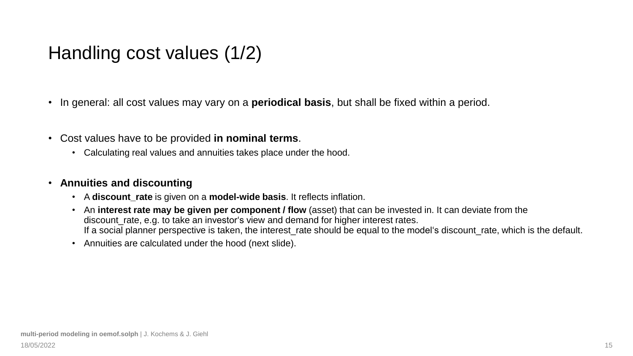### Handling cost values (1/2)

- In general: all cost values may vary on a **periodical basis**, but shall be fixed within a period.
- Cost values have to be provided **in nominal terms**.
	- Calculating real values and annuities takes place under the hood.

#### • **Annuities and discounting**

- A **discount\_rate** is given on a **model-wide basis**. It reflects inflation.
- An **interest rate may be given per component / flow** (asset) that can be invested in. It can deviate from the discount\_rate, e.g. to take an investor's view and demand for higher interest rates. If a social planner perspective is taken, the interest\_rate should be equal to the model's discount\_rate, which is the default.
- Annuities are calculated under the hood (next slide).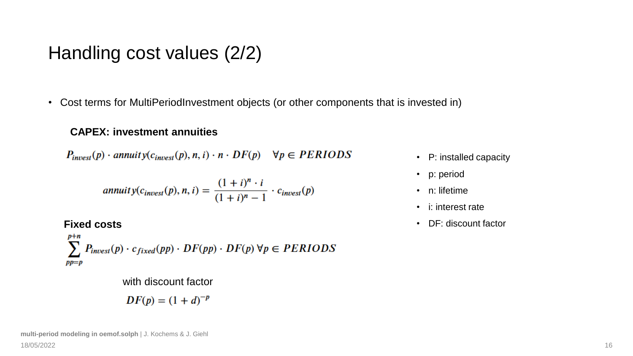### Handling cost values (2/2)

• Cost terms for MultiPeriodInvestment objects (or other components that is invested in)

#### **CAPEX: investment annuities**

 $P_{\text{invest}}(p) \cdot \text{annuity}(c_{\text{invest}}(p), n, i) \cdot n \cdot DF(p) \quad \forall p \in PERIODS$ 

annuity(
$$
c_{\text{invest}}(p)
$$
, n, i) = 
$$
\frac{(1+i)^n \cdot i}{(1+i)^n - 1} \cdot c_{\text{invest}}(p)
$$

**Fixed costs**

$$
\sum_{pp=p}^{p+n} P_{\text{invest}}(p) \cdot c_{\text{fixed}}(pp) \cdot DF(pp) \cdot DF(p) \,\forall p \in PERIDDS
$$

with discount factor

$$
DF(p) = (1+d)^{-p}
$$

- P: installed capacity
- p: period
- n: lifetime
- i: interest rate
- DF: discount factor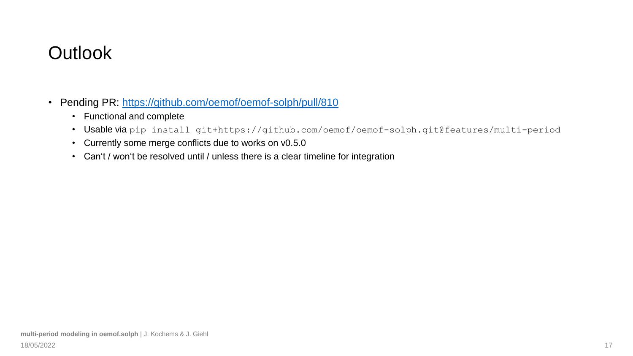### **Outlook**

- Pending PR:<https://github.com/oemof/oemof-solph/pull/810>
	- Functional and complete
	- Usable via pip install git+https://github.com/oemof/oemof-solph.git@features/multi-period
	- Currently some merge conflicts due to works on v0.5.0
	- Can't / won't be resolved until / unless there is a clear timeline for integration